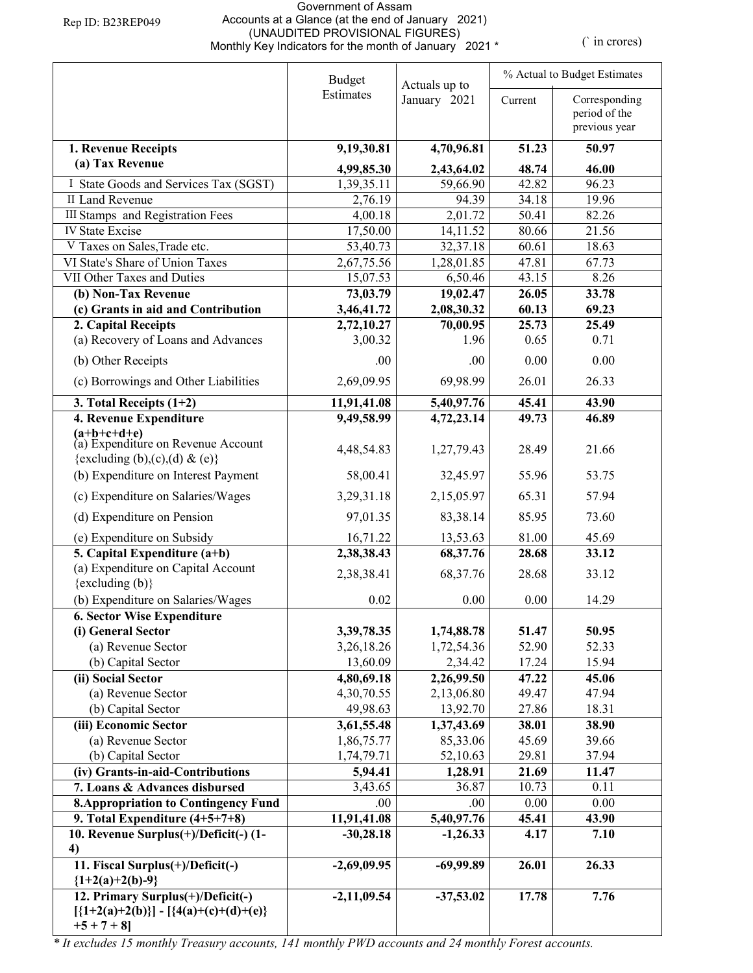## Government of Assam Accounts at a Glance (at the end of January 2021) (UNAUDITED PROVISIONAL FIGURES) Monthly Key Indicators for the month of January 2021 \* (` in crores)

|                                                            | <b>Budget</b><br>Actuals up to |                       | % Actual to Budget Estimates |                                                 |  |
|------------------------------------------------------------|--------------------------------|-----------------------|------------------------------|-------------------------------------------------|--|
|                                                            | Estimates                      | January 2021          | Current                      | Corresponding<br>period of the<br>previous year |  |
|                                                            |                                |                       | 51.23                        | 50.97                                           |  |
| 1. Revenue Receipts<br>(a) Tax Revenue                     | 9,19,30.81                     | 4,70,96.81            |                              |                                                 |  |
|                                                            | 4,99,85.30                     | 2,43,64.02            | 48.74                        | 46.00                                           |  |
| I State Goods and Services Tax (SGST)                      | 1,39,35.11                     | 59,66.90              | 42.82                        | 96.23                                           |  |
| II Land Revenue<br><b>III Stamps</b> and Registration Fees | 2,76.19                        | 94.39                 | 34.18                        | 19.96                                           |  |
| <b>IV State Excise</b>                                     | 4,00.18<br>17,50.00            | 2,01.72<br>14,11.52   | 50.41<br>80.66               | 82.26<br>21.56                                  |  |
| V Taxes on Sales, Trade etc.                               | 53,40.73                       | 32,37.18              | 60.61                        | 18.63                                           |  |
| VI State's Share of Union Taxes                            | 2,67,75.56                     | 1,28,01.85            | 47.81                        | 67.73                                           |  |
| VII Other Taxes and Duties                                 | 15,07.53                       | 6,50.46               | 43.15                        | 8.26                                            |  |
| (b) Non-Tax Revenue                                        | 73,03.79                       | 19,02.47              | 26.05                        | 33.78                                           |  |
| (c) Grants in aid and Contribution                         | 3,46,41.72                     | 2,08,30.32            | 60.13                        | 69.23                                           |  |
| 2. Capital Receipts                                        | 2,72,10.27                     | 70,00.95              | 25.73                        | 25.49                                           |  |
| (a) Recovery of Loans and Advances                         | 3,00.32                        | 1.96                  | 0.65                         | 0.71                                            |  |
| (b) Other Receipts                                         | .00                            | .00.                  | 0.00                         | 0.00                                            |  |
| (c) Borrowings and Other Liabilities                       | 2,69,09.95                     | 69,98.99              | 26.01                        | 26.33                                           |  |
| 3. Total Receipts $(1+2)$                                  | 11,91,41.08                    | 5,40,97.76            | 45.41                        | 43.90                                           |  |
| 4. Revenue Expenditure                                     | 9,49,58.99                     | 4,72,23.14            | 49.73                        | 46.89                                           |  |
| $(a+b+c+d+e)$<br>(a) Expenditure on Revenue Account        |                                |                       |                              |                                                 |  |
|                                                            | 4,48,54.83                     | 1,27,79.43            | 28.49                        | 21.66                                           |  |
| {excluding (b),(c),(d) & (e)}                              |                                |                       |                              |                                                 |  |
| (b) Expenditure on Interest Payment                        | 58,00.41                       | 32,45.97              | 55.96                        | 53.75                                           |  |
| (c) Expenditure on Salaries/Wages                          | 3,29,31.18                     | 2,15,05.97            | 65.31                        | 57.94                                           |  |
| (d) Expenditure on Pension                                 | 97,01.35                       | 83,38.14              | 85.95                        | 73.60                                           |  |
| (e) Expenditure on Subsidy                                 | 16,71.22                       | 13,53.63              | 81.00                        | 45.69                                           |  |
| 5. Capital Expenditure $(a+b)$                             | 2,38,38.43                     | 68,37.76              | 28.68                        | 33.12                                           |  |
| (a) Expenditure on Capital Account                         | 2,38,38.41                     | 68, 37. 76            | 28.68                        | 33.12                                           |  |
| $\{excluding (b)\}$                                        |                                |                       |                              |                                                 |  |
| (b) Expenditure on Salaries/Wages                          | 0.02                           | 0.00                  | 0.00                         | 14.29                                           |  |
| <b>6. Sector Wise Expenditure</b>                          |                                |                       |                              |                                                 |  |
| (i) General Sector                                         | 3,39,78.35                     | 1,74,88.78            | 51.47                        | 50.95                                           |  |
| (a) Revenue Sector                                         | 3,26,18.26                     | 1,72,54.36            | 52.90                        | 52.33                                           |  |
| (b) Capital Sector<br>(ii) Social Sector                   | 13,60.09<br>4,80,69.18         | 2,34.42<br>2,26,99.50 | 17.24<br>47.22               | 15.94<br>45.06                                  |  |
| (a) Revenue Sector                                         | 4,30,70.55                     | 2,13,06.80            | 49.47                        | 47.94                                           |  |
| (b) Capital Sector                                         | 49,98.63                       | 13,92.70              | 27.86                        | 18.31                                           |  |
| (iii) Economic Sector                                      | 3,61,55.48                     | 1,37,43.69            | 38.01                        | 38.90                                           |  |
| (a) Revenue Sector                                         | 1,86,75.77                     | 85,33.06              | 45.69                        | 39.66                                           |  |
| (b) Capital Sector                                         | 1,74,79.71                     | 52,10.63              | 29.81                        | 37.94                                           |  |
| (iv) Grants-in-aid-Contributions                           | 5,94.41                        | 1,28.91               | 21.69                        | 11.47                                           |  |
| 7. Loans & Advances disbursed                              | 3,43.65                        | 36.87                 | 10.73                        | 0.11                                            |  |
| <b>8. Appropriation to Contingency Fund</b>                | .00                            | .00                   | 0.00                         | 0.00                                            |  |
| 9. Total Expenditure $(4+5+7+8)$                           | 11,91,41.08                    | 5,40,97.76            | 45.41                        | 43.90                                           |  |
| 10. Revenue Surplus(+)/Deficit(-)(1-                       | $-30,28.18$                    | $-1,26.33$            | 4.17                         | 7.10                                            |  |
| 4)                                                         |                                |                       |                              |                                                 |  |
| 11. Fiscal Surplus(+)/Deficit(-)<br>${1+2(a)+2(b)-9}$      | $-2,69,09.95$                  | $-69,99.89$           | 26.01                        | 26.33                                           |  |
| 12. Primary Surplus(+)/Deficit(-)                          | $-2,11,09.54$                  | $-37,53.02$           | 17.78                        | 7.76                                            |  |
| $[{1+2(a)+2(b)}] - [{4(a)+(c)+(d)+(e)}]$<br>$+5 + 7 + 8$   |                                |                       |                              |                                                 |  |

*\* It excludes 15 monthly Treasury accounts, 141 monthly PWD accounts and 24 monthly Forest accounts.*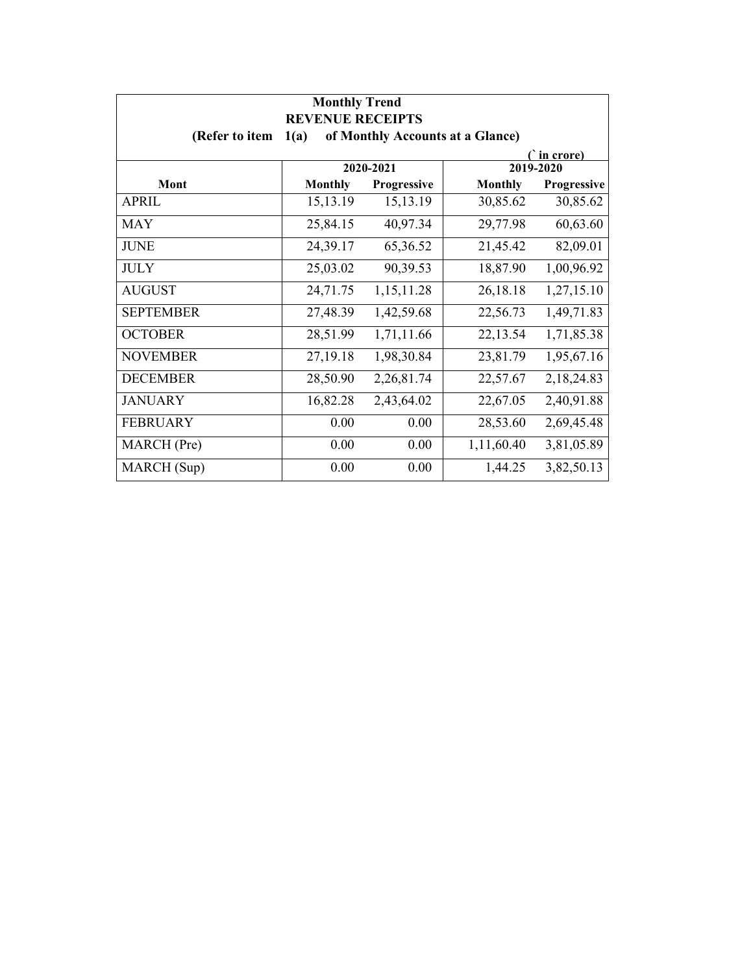| <b>Monthly Trend</b><br><b>REVENUE RECEIPTS</b>            |                |             |                |             |  |
|------------------------------------------------------------|----------------|-------------|----------------|-------------|--|
| of Monthly Accounts at a Glance)<br>(Refer to item<br>1(a) |                |             |                |             |  |
|                                                            |                |             |                | ( in crore) |  |
|                                                            |                | 2020-2021   |                | 2019-2020   |  |
| Mont                                                       | <b>Monthly</b> | Progressive | <b>Monthly</b> | Progressive |  |
| <b>APRIL</b>                                               | 15,13.19       | 15,13.19    | 30,85.62       | 30,85.62    |  |
| <b>MAY</b>                                                 | 25,84.15       | 40,97.34    | 29,77.98       | 60,63.60    |  |
| <b>JUNE</b>                                                | 24,39.17       | 65, 36. 52  | 21,45.42       | 82,09.01    |  |
| <b>JULY</b>                                                | 25,03.02       | 90,39.53    | 18,87.90       | 1,00,96.92  |  |
| <b>AUGUST</b>                                              | 24,71.75       | 1,15,11.28  | 26,18.18       | 1,27,15.10  |  |
| <b>SEPTEMBER</b>                                           | 27,48.39       | 1,42,59.68  | 22,56.73       | 1,49,71.83  |  |
| <b>OCTOBER</b>                                             | 28,51.99       | 1,71,11.66  | 22,13.54       | 1,71,85.38  |  |
| <b>NOVEMBER</b>                                            | 27,19.18       | 1,98,30.84  | 23,81.79       | 1,95,67.16  |  |
| <b>DECEMBER</b>                                            | 28,50.90       | 2,26,81.74  | 22,57.67       | 2,18,24.83  |  |
| <b>JANUARY</b>                                             | 16,82.28       | 2,43,64.02  | 22,67.05       | 2,40,91.88  |  |
| <b>FEBRUARY</b>                                            | 0.00           | 0.00        | 28,53.60       | 2,69,45.48  |  |
| MARCH (Pre)                                                | 0.00           | 0.00        | 1,11,60.40     | 3,81,05.89  |  |
| MARCH (Sup)                                                | 0.00           | 0.00        | 1,44.25        | 3,82,50.13  |  |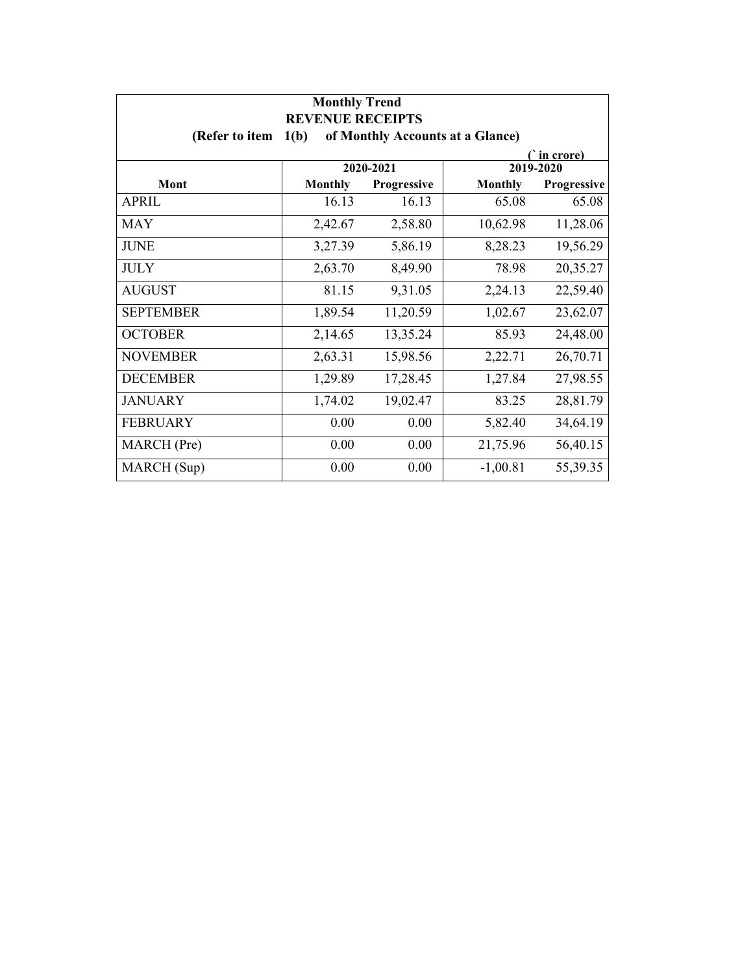| <b>Monthly Trend</b><br><b>REVENUE RECEIPTS</b> |                |             |                                  |             |
|-------------------------------------------------|----------------|-------------|----------------------------------|-------------|
| (Refer to item                                  | 1(b)           |             | of Monthly Accounts at a Glance) |             |
| (`in crore)<br>2019-2020                        |                |             |                                  |             |
|                                                 |                | 2020-2021   |                                  |             |
| Mont                                            | <b>Monthly</b> | Progressive | <b>Monthly</b>                   | Progressive |
| APRIL                                           | 16.13          | 16.13       | 65.08                            | 65.08       |
| <b>MAY</b>                                      | 2,42.67        | 2,58.80     | 10,62.98                         | 11,28.06    |
| <b>JUNE</b>                                     | 3,27.39        | 5,86.19     | 8,28.23                          | 19,56.29    |
| <b>JULY</b>                                     | 2,63.70        | 8,49.90     | 78.98                            | 20,35.27    |
| <b>AUGUST</b>                                   | 81.15          | 9,31.05     | 2,24.13                          | 22,59.40    |
| <b>SEPTEMBER</b>                                | 1,89.54        | 11,20.59    | 1,02.67                          | 23,62.07    |
| <b>OCTOBER</b>                                  | 2,14.65        | 13,35.24    | 85.93                            | 24,48.00    |
| <b>NOVEMBER</b>                                 | 2,63.31        | 15,98.56    | 2,22.71                          | 26,70.71    |
| <b>DECEMBER</b>                                 | 1,29.89        | 17,28.45    | 1,27.84                          | 27,98.55    |
| <b>JANUARY</b>                                  | 1,74.02        | 19,02.47    | 83.25                            | 28,81.79    |
| <b>FEBRUARY</b>                                 | 0.00           | 0.00        | 5,82.40                          | 34,64.19    |
| MARCH (Pre)                                     | 0.00           | 0.00        | 21,75.96                         | 56,40.15    |
| MARCH (Sup)                                     | 0.00           | 0.00        | $-1,00.81$                       | 55,39.35    |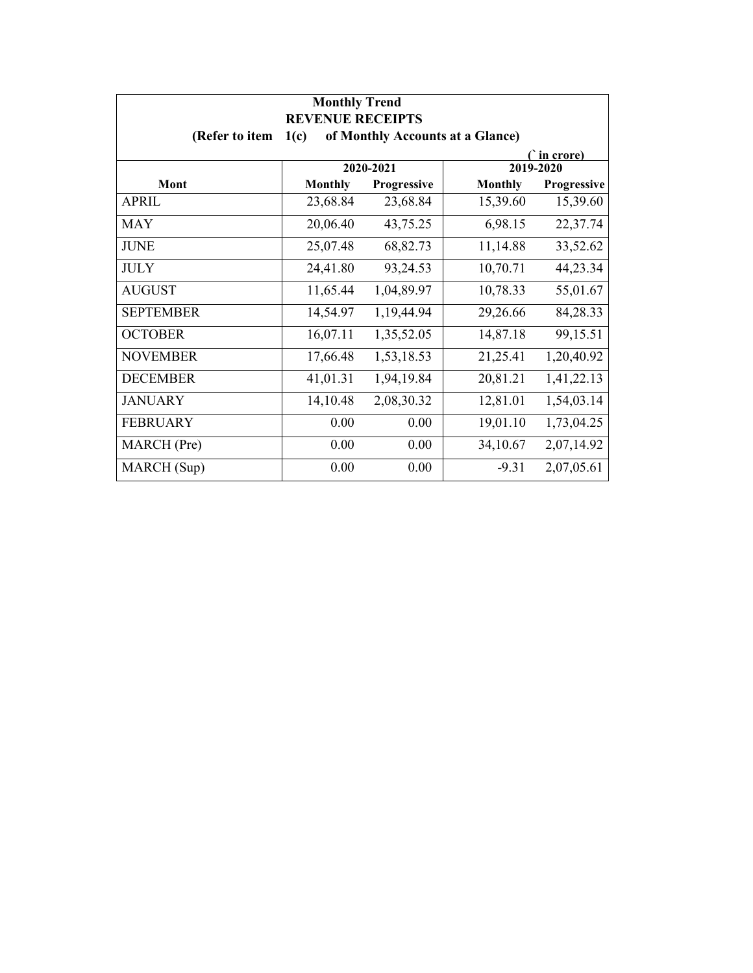| <b>Monthly Trend</b><br><b>REVENUE RECEIPTS</b> |                                          |             |                |             |  |  |
|-------------------------------------------------|------------------------------------------|-------------|----------------|-------------|--|--|
| (Refer to item                                  | of Monthly Accounts at a Glance)<br>1(c) |             |                |             |  |  |
| ( in crore)<br>2020-2021<br>2019-2020           |                                          |             |                |             |  |  |
|                                                 |                                          |             |                |             |  |  |
| Mont                                            | <b>Monthly</b>                           | Progressive | <b>Monthly</b> | Progressive |  |  |
| <b>APRIL</b>                                    | 23,68.84                                 | 23,68.84    | 15,39.60       | 15,39.60    |  |  |
| <b>MAY</b>                                      | 20,06.40                                 | 43,75.25    | 6,98.15        | 22,37.74    |  |  |
| <b>JUNE</b>                                     | 25,07.48                                 | 68,82.73    | 11,14.88       | 33,52.62    |  |  |
| <b>JULY</b>                                     | 24,41.80                                 | 93,24.53    | 10,70.71       | 44,23.34    |  |  |
| <b>AUGUST</b>                                   | 11,65.44                                 | 1,04,89.97  | 10,78.33       | 55,01.67    |  |  |
| <b>SEPTEMBER</b>                                | 14,54.97                                 | 1,19,44.94  | 29,26.66       | 84,28.33    |  |  |
| <b>OCTOBER</b>                                  | 16,07.11                                 | 1,35,52.05  | 14,87.18       | 99,15.51    |  |  |
| <b>NOVEMBER</b>                                 | 17,66.48                                 | 1,53,18.53  | 21,25.41       | 1,20,40.92  |  |  |
| <b>DECEMBER</b>                                 | 41,01.31                                 | 1,94,19.84  | 20,81.21       | 1,41,22.13  |  |  |
| <b>JANUARY</b>                                  | 14,10.48                                 | 2,08,30.32  | 12,81.01       | 1,54,03.14  |  |  |
| <b>FEBRUARY</b>                                 | 0.00                                     | 0.00        | 19,01.10       | 1,73,04.25  |  |  |
| MARCH (Pre)                                     | 0.00                                     | 0.00        | 34,10.67       | 2,07,14.92  |  |  |
| MARCH (Sup)                                     | 0.00                                     | 0.00        | $-9.31$        | 2,07,05.61  |  |  |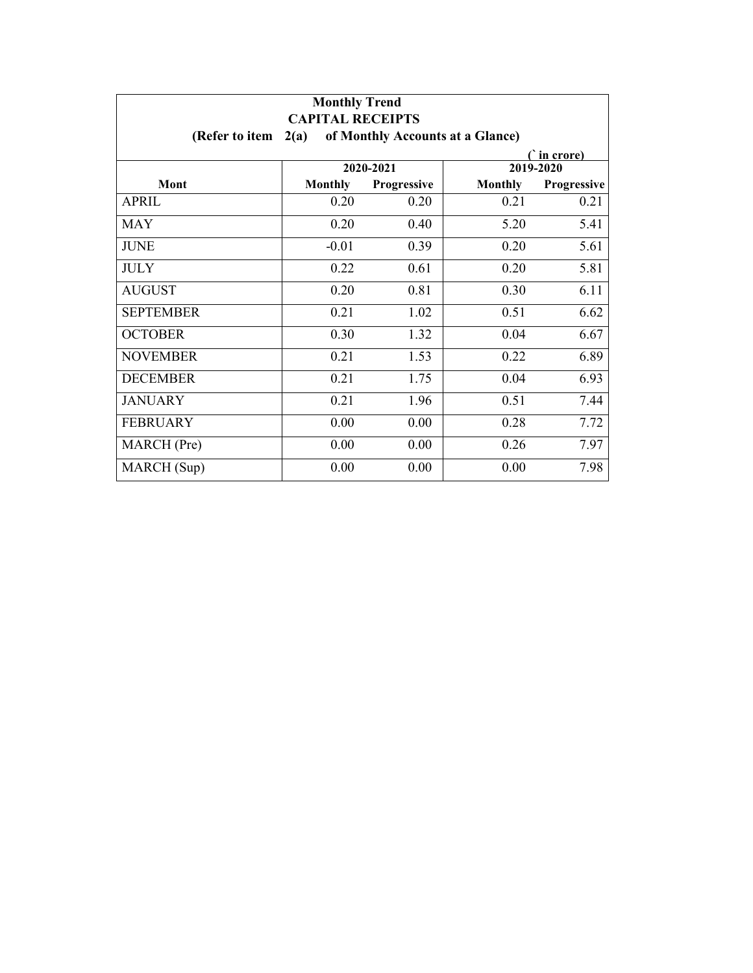| <b>Monthly Trend</b><br><b>CAPITAL RECEIPTS</b> |                |                    |                                  |             |  |
|-------------------------------------------------|----------------|--------------------|----------------------------------|-------------|--|
| (Refer to item                                  | 2(a)           |                    | of Monthly Accounts at a Glance) |             |  |
| ( in crore)                                     |                |                    |                                  |             |  |
|                                                 |                | 2020-2021          |                                  | 2019-2020   |  |
| Mont                                            | <b>Monthly</b> | <b>Progressive</b> | <b>Monthly</b>                   | Progressive |  |
| APRIL                                           | 0.20           | 0.20               | 0.21                             | 0.21        |  |
| MAY                                             | 0.20           | 0.40               | 5.20                             | 5.41        |  |
| <b>JUNE</b>                                     | $-0.01$        | 0.39               | 0.20                             | 5.61        |  |
| <b>JULY</b>                                     | 0.22           | 0.61               | 0.20                             | 5.81        |  |
| <b>AUGUST</b>                                   | 0.20           | 0.81               | 0.30                             | 6.11        |  |
| <b>SEPTEMBER</b>                                | 0.21           | 1.02               | 0.51                             | 6.62        |  |
| <b>OCTOBER</b>                                  | 0.30           | 1.32               | 0.04                             | 6.67        |  |
| <b>NOVEMBER</b>                                 | 0.21           | 1.53               | 0.22                             | 6.89        |  |
| <b>DECEMBER</b>                                 | 0.21           | 1.75               | 0.04                             | 6.93        |  |
| <b>JANUARY</b>                                  | 0.21           | 1.96               | 0.51                             | 7.44        |  |
| <b>FEBRUARY</b>                                 | 0.00           | 0.00               | 0.28                             | 7.72        |  |
| MARCH (Pre)                                     | 0.00           | 0.00               | 0.26                             | 7.97        |  |
| MARCH (Sup)                                     | 0.00           | 0.00               | 0.00                             | 7.98        |  |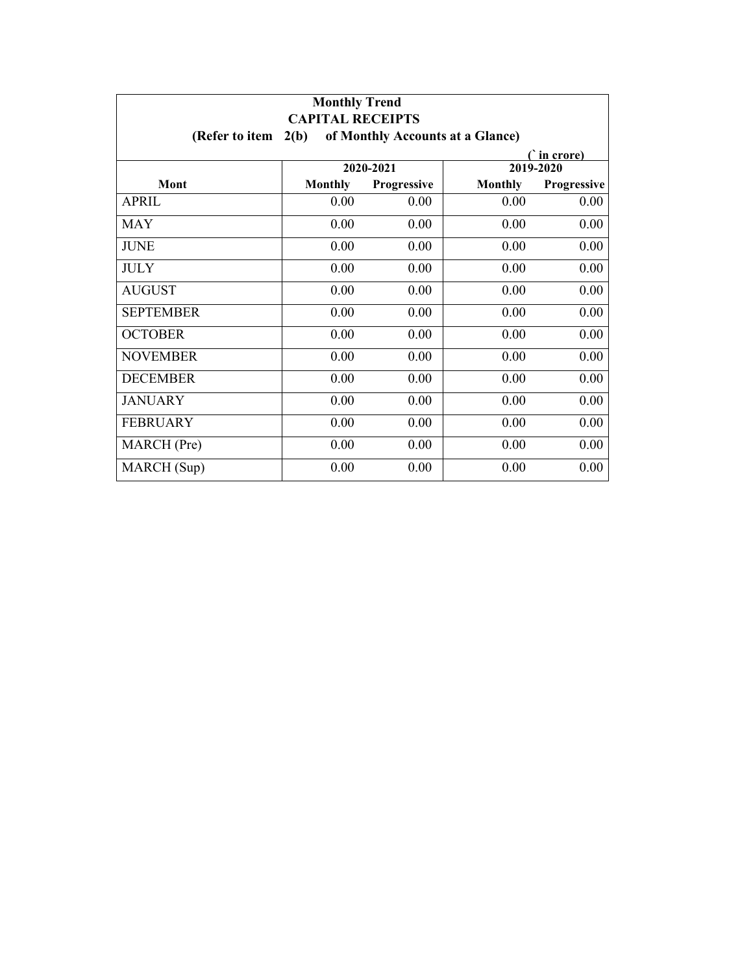| <b>Monthly Trend</b><br><b>CAPITAL RECEIPTS</b> |                |             |                                  |             |
|-------------------------------------------------|----------------|-------------|----------------------------------|-------------|
| (Refer to item                                  | 2(b)           |             | of Monthly Accounts at a Glance) |             |
| C in crore)                                     |                |             |                                  |             |
|                                                 |                | 2020-2021   |                                  | 2019-2020   |
| Mont                                            | <b>Monthly</b> | Progressive | <b>Monthly</b>                   | Progressive |
| <b>APRIL</b>                                    | 0.00           | 0.00        | 0.00                             | 0.00        |
| <b>MAY</b>                                      | 0.00           | 0.00        | 0.00                             | 0.00        |
| <b>JUNE</b>                                     | 0.00           | 0.00        | 0.00                             | 0.00        |
| <b>JULY</b>                                     | 0.00           | 0.00        | 0.00                             | 0.00        |
| <b>AUGUST</b>                                   | 0.00           | 0.00        | 0.00                             | 0.00        |
| <b>SEPTEMBER</b>                                | 0.00           | 0.00        | 0.00                             | 0.00        |
| <b>OCTOBER</b>                                  | 0.00           | 0.00        | 0.00                             | 0.00        |
| <b>NOVEMBER</b>                                 | 0.00           | 0.00        | 0.00                             | 0.00        |
| <b>DECEMBER</b>                                 | 0.00           | 0.00        | 0.00                             | 0.00        |
| <b>JANUARY</b>                                  | 0.00           | 0.00        | 0.00                             | 0.00        |
| <b>FEBRUARY</b>                                 | 0.00           | 0.00        | 0.00                             | 0.00        |
| MARCH (Pre)                                     | 0.00           | 0.00        | 0.00                             | 0.00        |
| MARCH (Sup)                                     | 0.00           | 0.00        | 0.00                             | 0.00        |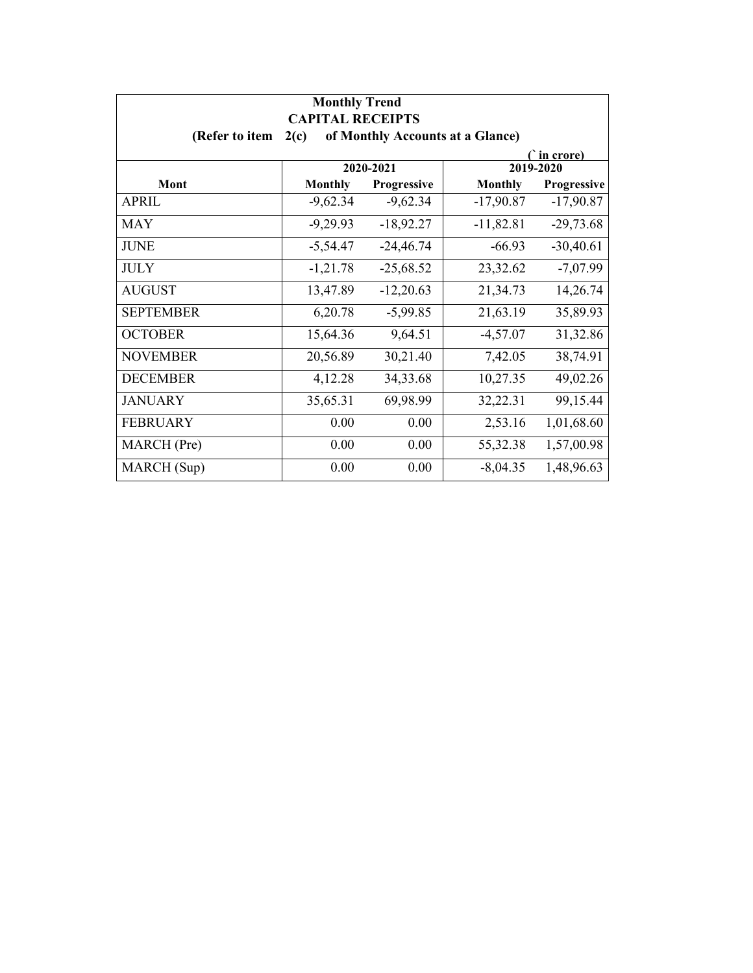| <b>Monthly Trend</b><br><b>CAPITAL RECEIPTS</b>            |                |             |                |             |  |
|------------------------------------------------------------|----------------|-------------|----------------|-------------|--|
| (Refer to item<br>of Monthly Accounts at a Glance)<br>2(c) |                |             |                |             |  |
| ( in crore)<br>2020-2021<br>2019-2020                      |                |             |                |             |  |
|                                                            |                |             |                |             |  |
| Mont                                                       | <b>Monthly</b> | Progressive | <b>Monthly</b> | Progressive |  |
| <b>APRIL</b>                                               | $-9,62.34$     | $-9,62.34$  | $-17,90.87$    | $-17,90.87$ |  |
| MAY                                                        | $-9,29.93$     | $-18,92.27$ | $-11,82.81$    | $-29,73.68$ |  |
| <b>JUNE</b>                                                | $-5,54.47$     | $-24,46.74$ | $-66.93$       | $-30,40.61$ |  |
| <b>JULY</b>                                                | $-1,21.78$     | $-25,68.52$ | 23,32.62       | $-7,07.99$  |  |
| <b>AUGUST</b>                                              | 13,47.89       | $-12,20.63$ | 21,34.73       | 14,26.74    |  |
| <b>SEPTEMBER</b>                                           | 6,20.78        | $-5,99.85$  | 21,63.19       | 35,89.93    |  |
| <b>OCTOBER</b>                                             | 15,64.36       | 9,64.51     | $-4,57.07$     | 31,32.86    |  |
| <b>NOVEMBER</b>                                            | 20,56.89       | 30,21.40    | 7,42.05        | 38,74.91    |  |
| <b>DECEMBER</b>                                            | 4,12.28        | 34,33.68    | 10,27.35       | 49,02.26    |  |
| <b>JANUARY</b>                                             | 35,65.31       | 69,98.99    | 32,22.31       | 99,15.44    |  |
| <b>FEBRUARY</b>                                            | 0.00           | 0.00        | 2,53.16        | 1,01,68.60  |  |
| MARCH (Pre)                                                | 0.00           | 0.00        | 55,32.38       | 1,57,00.98  |  |
| MARCH (Sup)                                                | 0.00           | 0.00        | $-8,04.35$     | 1,48,96.63  |  |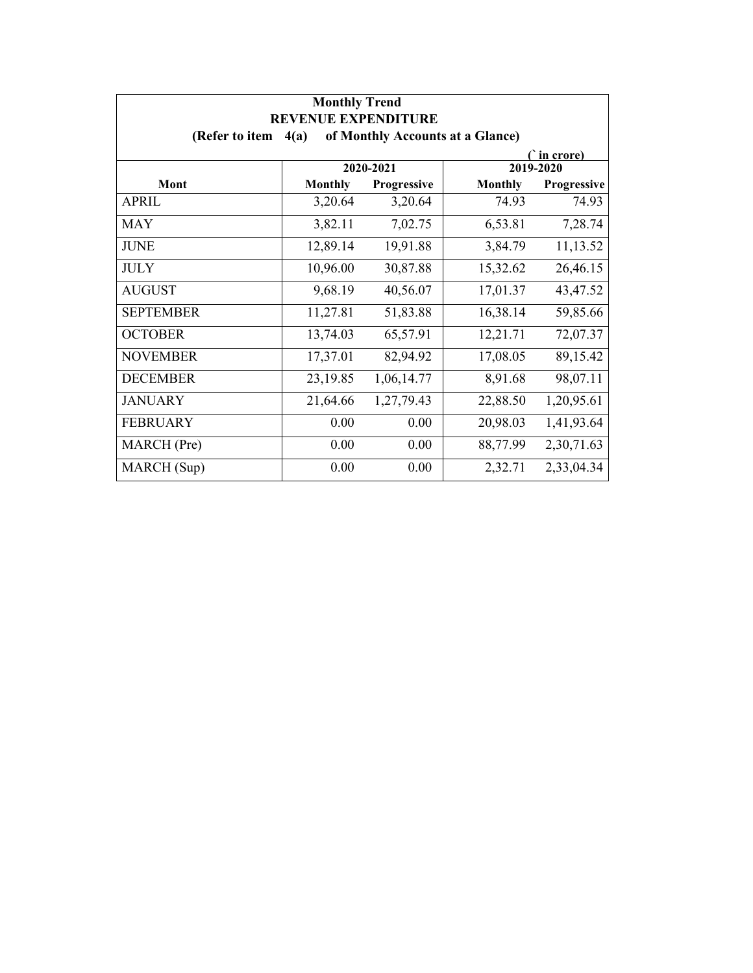| <b>Monthly Trend</b><br><b>REVENUE EXPENDITURE</b>         |                |             |                |             |  |
|------------------------------------------------------------|----------------|-------------|----------------|-------------|--|
| of Monthly Accounts at a Glance)<br>(Refer to item<br>4(a) |                |             |                |             |  |
| ∩`in crore)<br>2020-2021<br>2019-2020                      |                |             |                |             |  |
| Mont                                                       | <b>Monthly</b> | Progressive | <b>Monthly</b> | Progressive |  |
| <b>APRIL</b>                                               | 3,20.64        | 3,20.64     | 74.93          | 74.93       |  |
| <b>MAY</b>                                                 | 3,82.11        | 7,02.75     | 6,53.81        | 7,28.74     |  |
| <b>JUNE</b>                                                | 12,89.14       | 19,91.88    | 3,84.79        | 11,13.52    |  |
| <b>JULY</b>                                                | 10,96.00       | 30,87.88    | 15,32.62       | 26,46.15    |  |
| <b>AUGUST</b>                                              | 9,68.19        | 40,56.07    | 17,01.37       | 43,47.52    |  |
| <b>SEPTEMBER</b>                                           | 11,27.81       | 51,83.88    | 16,38.14       | 59,85.66    |  |
| <b>OCTOBER</b>                                             | 13,74.03       | 65,57.91    | 12,21.71       | 72,07.37    |  |
| <b>NOVEMBER</b>                                            | 17,37.01       | 82,94.92    | 17,08.05       | 89,15.42    |  |
| <b>DECEMBER</b>                                            | 23,19.85       | 1,06,14.77  | 8,91.68        | 98,07.11    |  |
| <b>JANUARY</b>                                             | 21,64.66       | 1,27,79.43  | 22,88.50       | 1,20,95.61  |  |
| <b>FEBRUARY</b>                                            | 0.00           | 0.00        | 20,98.03       | 1,41,93.64  |  |
| MARCH (Pre)                                                | 0.00           | 0.00        | 88,77.99       | 2,30,71.63  |  |
| MARCH (Sup)                                                | 0.00           | 0.00        | 2,32.71        | 2,33,04.34  |  |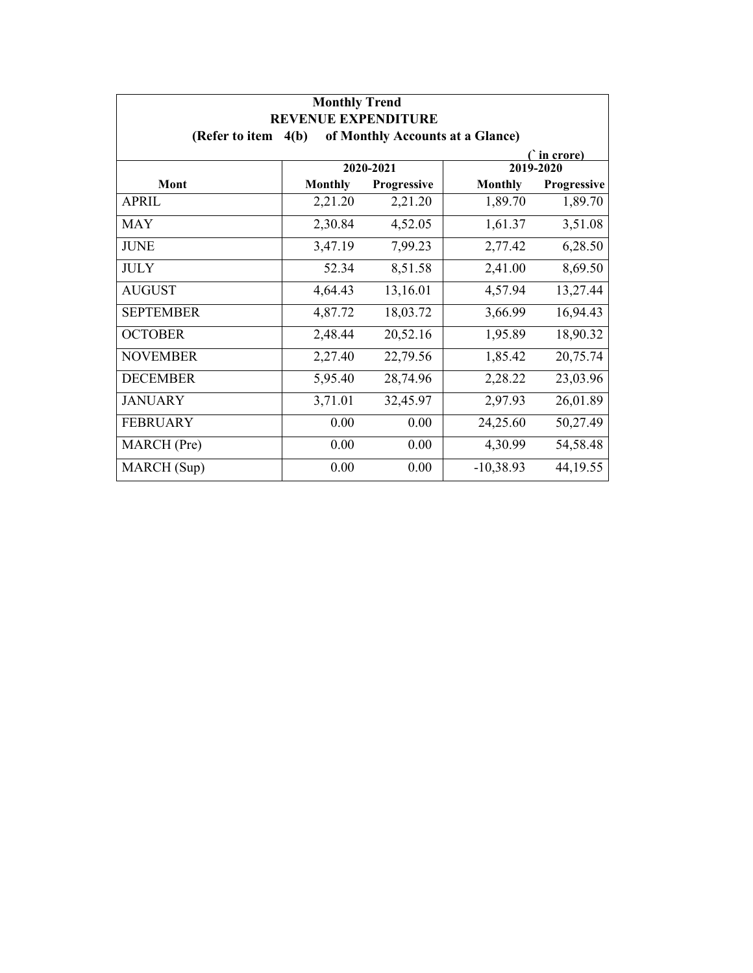| <b>Monthly Trend</b><br><b>REVENUE EXPENDITURE</b> |                                          |                                 |                |                          |  |
|----------------------------------------------------|------------------------------------------|---------------------------------|----------------|--------------------------|--|
| (Refer to item                                     | of Monthly Accounts at a Glance)<br>4(b) |                                 |                |                          |  |
|                                                    |                                          |                                 |                | ∩`in crore)              |  |
| Mont                                               | <b>Monthly</b>                           | 2020-2021<br><b>Progressive</b> | <b>Monthly</b> | 2019-2020<br>Progressive |  |
| APRIL                                              | 2,21.20                                  | 2,21.20                         | 1,89.70        | 1,89.70                  |  |
| <b>MAY</b>                                         | 2,30.84                                  | 4,52.05                         | 1,61.37        | 3,51.08                  |  |
| <b>JUNE</b>                                        | 3,47.19                                  | 7,99.23                         | 2,77.42        | 6,28.50                  |  |
| <b>JULY</b>                                        | 52.34                                    | 8,51.58                         | 2,41.00        | 8,69.50                  |  |
| <b>AUGUST</b>                                      | 4,64.43                                  | 13,16.01                        | 4,57.94        | 13,27.44                 |  |
| <b>SEPTEMBER</b>                                   | 4,87.72                                  | 18,03.72                        | 3,66.99        | 16,94.43                 |  |
| <b>OCTOBER</b>                                     | 2,48.44                                  | 20,52.16                        | 1,95.89        | 18,90.32                 |  |
| <b>NOVEMBER</b>                                    | 2,27.40                                  | 22,79.56                        | 1,85.42        | 20,75.74                 |  |
| <b>DECEMBER</b>                                    | 5,95.40                                  | 28,74.96                        | 2,28.22        | 23,03.96                 |  |
| <b>JANUARY</b>                                     | 3,71.01                                  | 32,45.97                        | 2,97.93        | 26,01.89                 |  |
| <b>FEBRUARY</b>                                    | 0.00                                     | 0.00                            | 24,25.60       | 50,27.49                 |  |
| MARCH (Pre)                                        | 0.00                                     | 0.00                            | 4,30.99        | 54,58.48                 |  |
| MARCH (Sup)                                        | 0.00                                     | 0.00                            | $-10,38.93$    | 44, 19.55                |  |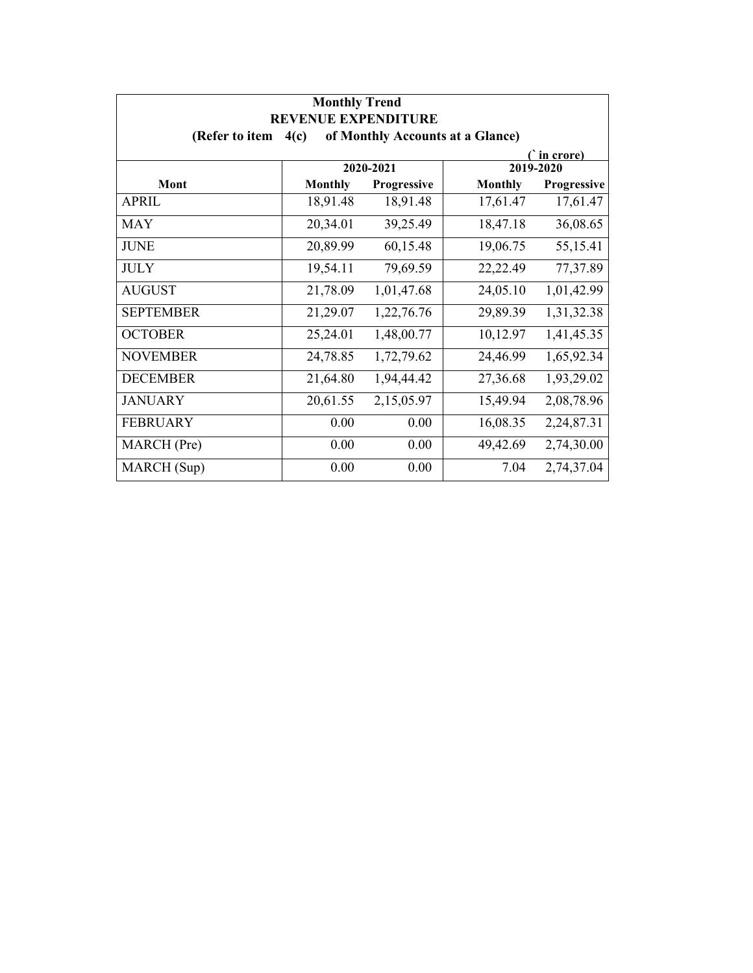| <b>Monthly Trend</b><br><b>REVENUE EXPENDITURE</b>         |                |             |                |             |  |
|------------------------------------------------------------|----------------|-------------|----------------|-------------|--|
| of Monthly Accounts at a Glance)<br>(Refer to item<br>4(c) |                |             |                |             |  |
| ∩`in crore)<br>2020-2021<br>2019-2020                      |                |             |                |             |  |
| Mont                                                       | <b>Monthly</b> | Progressive | <b>Monthly</b> | Progressive |  |
| <b>APRIL</b>                                               | 18,91.48       | 18,91.48    | 17,61.47       | 17,61.47    |  |
| <b>MAY</b>                                                 | 20,34.01       | 39,25.49    | 18,47.18       | 36,08.65    |  |
| <b>JUNE</b>                                                | 20,89.99       | 60,15.48    | 19,06.75       | 55,15.41    |  |
| <b>JULY</b>                                                | 19,54.11       | 79,69.59    | 22,22.49       | 77,37.89    |  |
| <b>AUGUST</b>                                              | 21,78.09       | 1,01,47.68  | 24,05.10       | 1,01,42.99  |  |
| <b>SEPTEMBER</b>                                           | 21,29.07       | 1,22,76.76  | 29,89.39       | 1,31,32.38  |  |
| <b>OCTOBER</b>                                             | 25,24.01       | 1,48,00.77  | 10,12.97       | 1,41,45.35  |  |
| <b>NOVEMBER</b>                                            | 24,78.85       | 1,72,79.62  | 24,46.99       | 1,65,92.34  |  |
| <b>DECEMBER</b>                                            | 21,64.80       | 1,94,44.42  | 27,36.68       | 1,93,29.02  |  |
| <b>JANUARY</b>                                             | 20,61.55       | 2,15,05.97  | 15,49.94       | 2,08,78.96  |  |
| <b>FEBRUARY</b>                                            | 0.00           | 0.00        | 16,08.35       | 2,24,87.31  |  |
| MARCH (Pre)                                                | 0.00           | 0.00        | 49,42.69       | 2,74,30.00  |  |
| MARCH (Sup)                                                | 0.00           | 0.00        | 7.04           | 2,74,37.04  |  |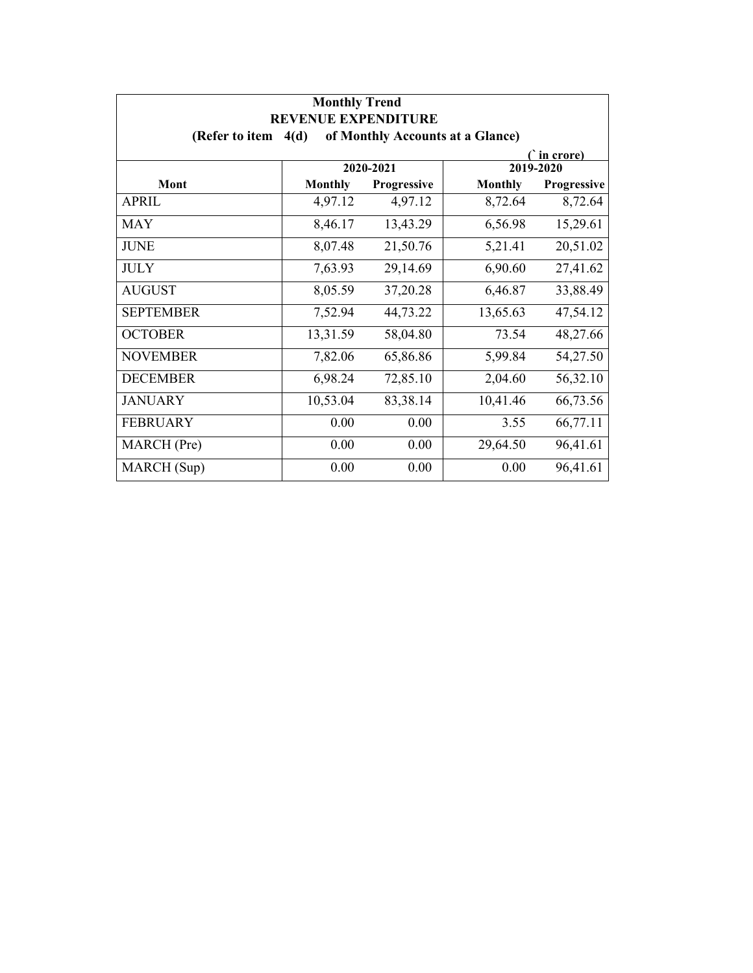| <b>Monthly Trend</b><br><b>REVENUE EXPENDITURE</b> |                                          |             |                |             |  |
|----------------------------------------------------|------------------------------------------|-------------|----------------|-------------|--|
| (Refer to item                                     | of Monthly Accounts at a Glance)<br>4(d) |             |                |             |  |
| ∩`in crore)<br>2020-2021<br>2019-2020              |                                          |             |                |             |  |
| Mont                                               | <b>Monthly</b>                           | Progressive | <b>Monthly</b> | Progressive |  |
| <b>APRIL</b>                                       | 4,97.12                                  | 4,97.12     | 8,72.64        | 8,72.64     |  |
| <b>MAY</b>                                         | 8,46.17                                  | 13,43.29    | 6,56.98        | 15,29.61    |  |
| <b>JUNE</b>                                        | 8,07.48                                  | 21,50.76    | 5,21.41        | 20,51.02    |  |
| <b>JULY</b>                                        | 7,63.93                                  | 29,14.69    | 6,90.60        | 27,41.62    |  |
| <b>AUGUST</b>                                      | 8,05.59                                  | 37,20.28    | 6,46.87        | 33,88.49    |  |
| <b>SEPTEMBER</b>                                   | 7,52.94                                  | 44,73.22    | 13,65.63       | 47,54.12    |  |
| <b>OCTOBER</b>                                     | 13,31.59                                 | 58,04.80    | 73.54          | 48,27.66    |  |
| <b>NOVEMBER</b>                                    | 7,82.06                                  | 65,86.86    | 5,99.84        | 54,27.50    |  |
| <b>DECEMBER</b>                                    | 6,98.24                                  | 72,85.10    | 2,04.60        | 56,32.10    |  |
| <b>JANUARY</b>                                     | 10,53.04                                 | 83,38.14    | 10,41.46       | 66,73.56    |  |
| <b>FEBRUARY</b>                                    | 0.00                                     | 0.00        | 3.55           | 66,77.11    |  |
| MARCH (Pre)                                        | 0.00                                     | 0.00        | 29,64.50       | 96,41.61    |  |
| MARCH (Sup)                                        | 0.00                                     | 0.00        | 0.00           | 96,41.61    |  |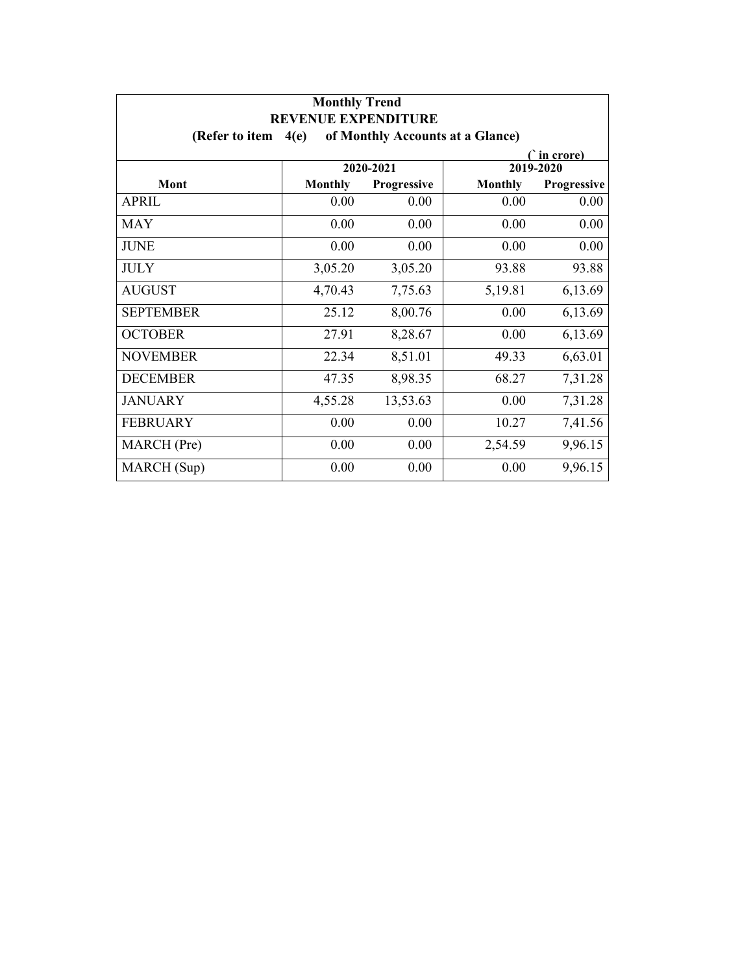| <b>Monthly Trend</b><br><b>REVENUE EXPENDITURE</b><br>of Monthly Accounts at a Glance)<br>(Refer to item<br>4(e) |                |             |                |             |
|------------------------------------------------------------------------------------------------------------------|----------------|-------------|----------------|-------------|
|                                                                                                                  |                |             |                |             |
|                                                                                                                  |                | 2020-2021   |                | 2019-2020   |
| Mont                                                                                                             | <b>Monthly</b> | Progressive | <b>Monthly</b> | Progressive |
| <b>APRIL</b>                                                                                                     | 0.00           | 0.00        | 0.00           | 0.00        |
| <b>MAY</b>                                                                                                       | 0.00           | 0.00        | 0.00           | 0.00        |
| <b>JUNE</b>                                                                                                      | 0.00           | 0.00        | 0.00           | 0.00        |
| <b>JULY</b>                                                                                                      | 3,05.20        | 3,05.20     | 93.88          | 93.88       |
| <b>AUGUST</b>                                                                                                    | 4,70.43        | 7,75.63     | 5,19.81        | 6,13.69     |
| <b>SEPTEMBER</b>                                                                                                 | 25.12          | 8,00.76     | 0.00           | 6,13.69     |
| <b>OCTOBER</b>                                                                                                   | 27.91          | 8,28.67     | 0.00           | 6,13.69     |
| <b>NOVEMBER</b>                                                                                                  | 22.34          | 8,51.01     | 49.33          | 6,63.01     |
| <b>DECEMBER</b>                                                                                                  | 47.35          | 8,98.35     | 68.27          | 7,31.28     |
| <b>JANUARY</b>                                                                                                   | 4,55.28        | 13,53.63    | 0.00           | 7,31.28     |
| <b>FEBRUARY</b>                                                                                                  | 0.00           | 0.00        | 10.27          | 7,41.56     |
| MARCH (Pre)                                                                                                      | 0.00           | 0.00        | 2,54.59        | 9,96.15     |
| MARCH (Sup)                                                                                                      | 0.00           | 0.00        | 0.00           | 9,96.15     |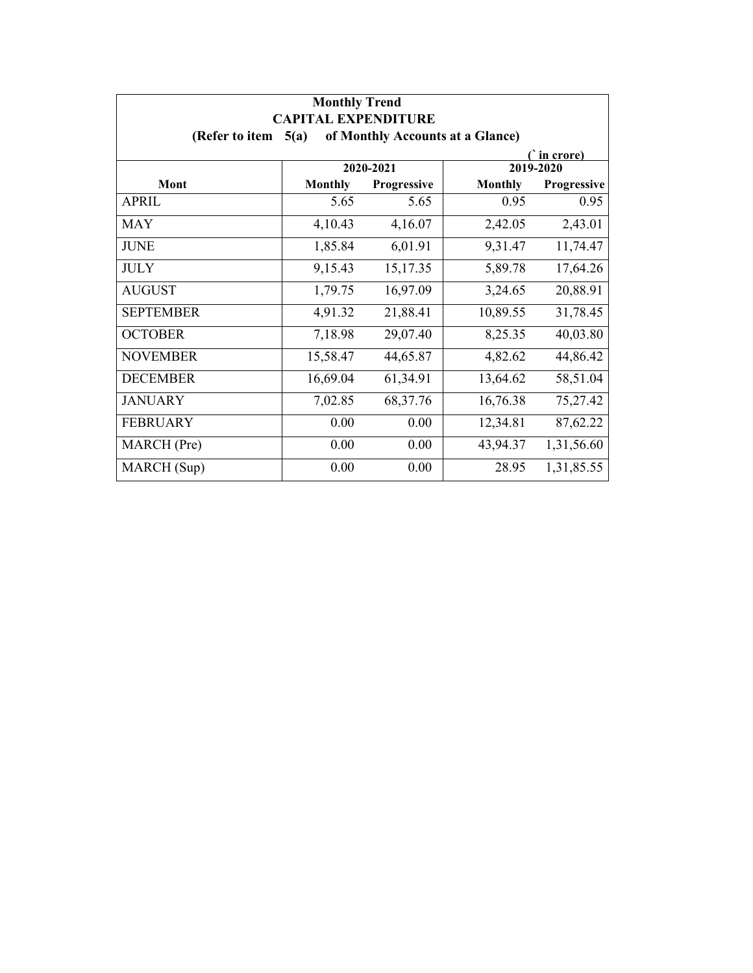| <b>Monthly Trend</b><br><b>CAPITAL EXPENDITURE</b><br>of Monthly Accounts at a Glance)<br>(Refer to item<br>5(a) |                |             |                |             |  |  |  |
|------------------------------------------------------------------------------------------------------------------|----------------|-------------|----------------|-------------|--|--|--|
|                                                                                                                  |                |             |                |             |  |  |  |
|                                                                                                                  | 2020-2021      |             |                | 2019-2020   |  |  |  |
| Mont                                                                                                             | <b>Monthly</b> | Progressive | <b>Monthly</b> | Progressive |  |  |  |
| <b>APRIL</b>                                                                                                     | 5.65           | 5.65        | 0.95           | 0.95        |  |  |  |
| MAY                                                                                                              | 4,10.43        | 4,16.07     | 2,42.05        | 2,43.01     |  |  |  |
| <b>JUNE</b>                                                                                                      | 1,85.84        | 6,01.91     | 9,31.47        | 11,74.47    |  |  |  |
| <b>JULY</b>                                                                                                      | 9,15.43        | 15,17.35    | 5,89.78        | 17,64.26    |  |  |  |
| <b>AUGUST</b>                                                                                                    | 1,79.75        | 16,97.09    | 3,24.65        | 20,88.91    |  |  |  |
| <b>SEPTEMBER</b>                                                                                                 | 4,91.32        | 21,88.41    | 10,89.55       | 31,78.45    |  |  |  |
| <b>OCTOBER</b>                                                                                                   | 7,18.98        | 29,07.40    | 8,25.35        | 40,03.80    |  |  |  |
| <b>NOVEMBER</b>                                                                                                  | 15,58.47       | 44,65.87    | 4,82.62        | 44,86.42    |  |  |  |
| <b>DECEMBER</b>                                                                                                  | 16,69.04       | 61,34.91    | 13,64.62       | 58,51.04    |  |  |  |
| <b>JANUARY</b>                                                                                                   | 7,02.85        | 68, 37. 76  | 16,76.38       | 75,27.42    |  |  |  |
| <b>FEBRUARY</b>                                                                                                  | 0.00           | 0.00        | 12,34.81       | 87,62.22    |  |  |  |
| MARCH (Pre)                                                                                                      | 0.00           | 0.00        | 43,94.37       | 1,31,56.60  |  |  |  |
| MARCH (Sup)                                                                                                      | 0.00           | 0.00        | 28.95          | 1,31,85.55  |  |  |  |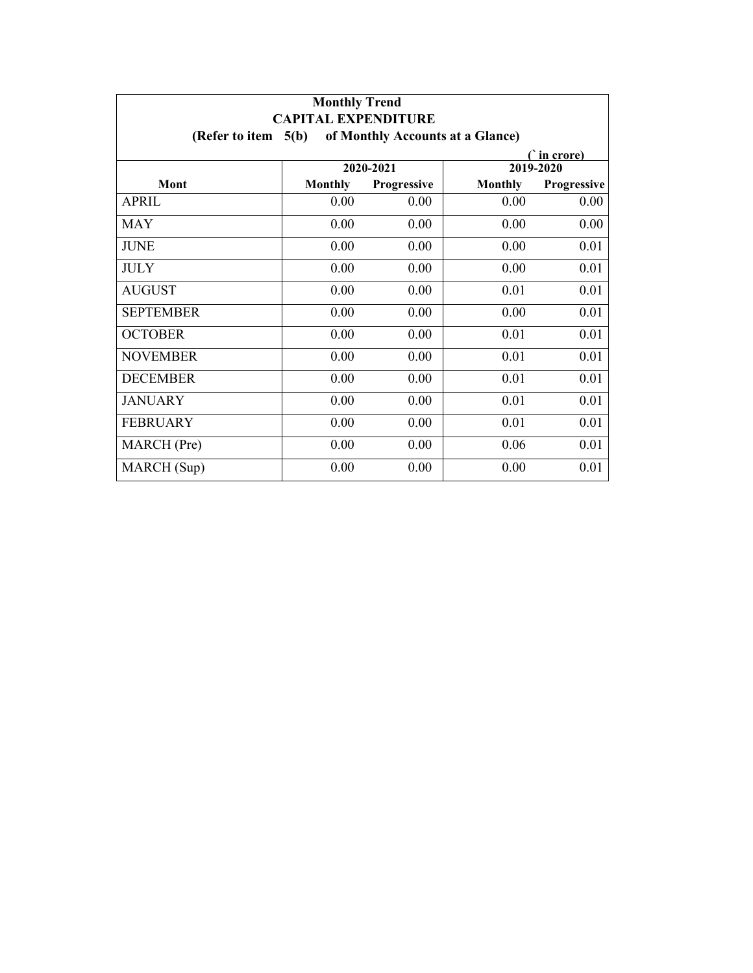| <b>Monthly Trend</b><br><b>CAPITAL EXPENDITURE</b>          |                |             |                |                          |  |  |  |  |
|-------------------------------------------------------------|----------------|-------------|----------------|--------------------------|--|--|--|--|
| (Refer to item $5(b)$ )<br>of Monthly Accounts at a Glance) |                |             |                |                          |  |  |  |  |
|                                                             |                | 2020-2021   |                | ( in crore)<br>2019-2020 |  |  |  |  |
| Mont                                                        | <b>Monthly</b> | Progressive | <b>Monthly</b> | Progressive              |  |  |  |  |
| <b>APRIL</b>                                                | 0.00           | 0.00        | 0.00           | 0.00                     |  |  |  |  |
| <b>MAY</b>                                                  | 0.00           | 0.00        | 0.00           | 0.00                     |  |  |  |  |
| <b>JUNE</b>                                                 | 0.00           | 0.00        | 0.00           | 0.01                     |  |  |  |  |
| <b>JULY</b>                                                 | 0.00           | 0.00        | 0.00           | 0.01                     |  |  |  |  |
| <b>AUGUST</b>                                               | 0.00           | 0.00        | 0.01           | 0.01                     |  |  |  |  |
| <b>SEPTEMBER</b>                                            | 0.00           | 0.00        | 0.00           | 0.01                     |  |  |  |  |
| <b>OCTOBER</b>                                              | 0.00           | 0.00        | 0.01           | 0.01                     |  |  |  |  |
| <b>NOVEMBER</b>                                             | 0.00           | 0.00        | 0.01           | 0.01                     |  |  |  |  |
| <b>DECEMBER</b>                                             | 0.00           | 0.00        | 0.01           | 0.01                     |  |  |  |  |
| <b>JANUARY</b>                                              | 0.00           | 0.00        | 0.01           | 0.01                     |  |  |  |  |
| <b>FEBRUARY</b>                                             | 0.00           | 0.00        | 0.01           | 0.01                     |  |  |  |  |
| MARCH (Pre)                                                 | 0.00           | 0.00        | 0.06           | 0.01                     |  |  |  |  |
| MARCH (Sup)                                                 | 0.00           | 0.00        | 0.00           | 0.01                     |  |  |  |  |